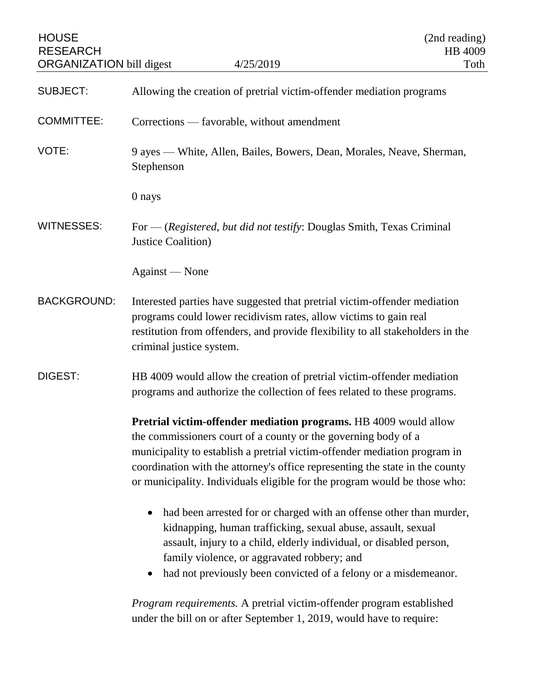| <b>HOUSE</b><br><b>RESEARCH</b><br><b>ORGANIZATION bill digest</b> | 4/25/2019                                                                                                                                                                                                                                                                                                                                                                    | (2nd reading)<br>HB 4009<br>Toth |
|--------------------------------------------------------------------|------------------------------------------------------------------------------------------------------------------------------------------------------------------------------------------------------------------------------------------------------------------------------------------------------------------------------------------------------------------------------|----------------------------------|
| <b>SUBJECT:</b>                                                    | Allowing the creation of pretrial victim-offender mediation programs                                                                                                                                                                                                                                                                                                         |                                  |
| <b>COMMITTEE:</b>                                                  | Corrections — favorable, without amendment                                                                                                                                                                                                                                                                                                                                   |                                  |
| VOTE:                                                              | 9 ayes — White, Allen, Bailes, Bowers, Dean, Morales, Neave, Sherman,<br>Stephenson                                                                                                                                                                                                                                                                                          |                                  |
|                                                                    | 0 nays                                                                                                                                                                                                                                                                                                                                                                       |                                  |
| <b>WITNESSES:</b>                                                  | For $-$ (Registered, but did not testify: Douglas Smith, Texas Criminal<br><b>Justice Coalition</b> )                                                                                                                                                                                                                                                                        |                                  |
|                                                                    | Against - None                                                                                                                                                                                                                                                                                                                                                               |                                  |
| <b>BACKGROUND:</b>                                                 | Interested parties have suggested that pretrial victim-offender mediation<br>programs could lower recidivism rates, allow victims to gain real<br>restitution from offenders, and provide flexibility to all stakeholders in the<br>criminal justice system.                                                                                                                 |                                  |
| <b>DIGEST:</b>                                                     | HB 4009 would allow the creation of pretrial victim-offender mediation<br>programs and authorize the collection of fees related to these programs.                                                                                                                                                                                                                           |                                  |
|                                                                    | Pretrial victim-offender mediation programs. HB 4009 would allow<br>the commissioners court of a county or the governing body of a<br>municipality to establish a pretrial victim-offender mediation program in<br>coordination with the attorney's office representing the state in the county<br>or municipality. Individuals eligible for the program would be those who: |                                  |
|                                                                    | had been arrested for or charged with an offense other than murder,<br>kidnapping, human trafficking, sexual abuse, assault, sexual<br>assault, injury to a child, elderly individual, or disabled person,<br>family violence, or aggravated robbery; and<br>had not previously been convicted of a felony or a misdemeanor.                                                 |                                  |
|                                                                    | Program requirements. A pretrial victim-offender program established<br>under the bill on or after September 1, 2019, would have to require:                                                                                                                                                                                                                                 |                                  |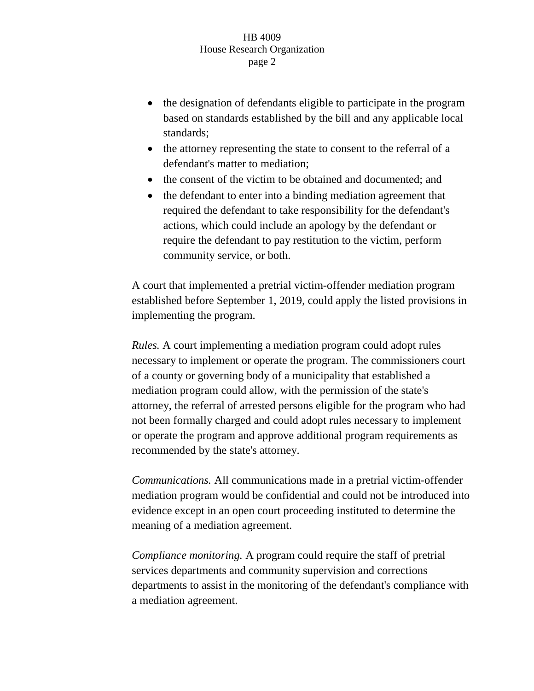- the designation of defendants eligible to participate in the program based on standards established by the bill and any applicable local standards;
- the attorney representing the state to consent to the referral of a defendant's matter to mediation;
- the consent of the victim to be obtained and documented; and
- the defendant to enter into a binding mediation agreement that required the defendant to take responsibility for the defendant's actions, which could include an apology by the defendant or require the defendant to pay restitution to the victim, perform community service, or both.

A court that implemented a pretrial victim-offender mediation program established before September 1, 2019, could apply the listed provisions in implementing the program.

*Rules.* A court implementing a mediation program could adopt rules necessary to implement or operate the program. The commissioners court of a county or governing body of a municipality that established a mediation program could allow, with the permission of the state's attorney, the referral of arrested persons eligible for the program who had not been formally charged and could adopt rules necessary to implement or operate the program and approve additional program requirements as recommended by the state's attorney.

*Communications.* All communications made in a pretrial victim-offender mediation program would be confidential and could not be introduced into evidence except in an open court proceeding instituted to determine the meaning of a mediation agreement.

*Compliance monitoring.* A program could require the staff of pretrial services departments and community supervision and corrections departments to assist in the monitoring of the defendant's compliance with a mediation agreement.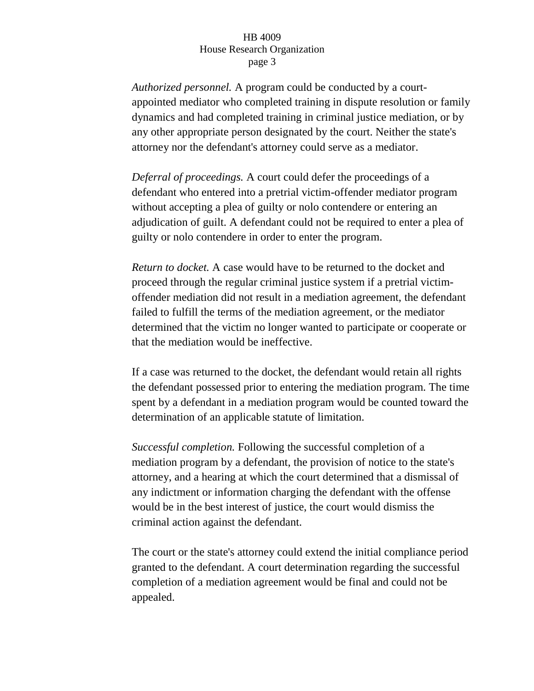*Authorized personnel.* A program could be conducted by a courtappointed mediator who completed training in dispute resolution or family dynamics and had completed training in criminal justice mediation, or by any other appropriate person designated by the court. Neither the state's attorney nor the defendant's attorney could serve as a mediator.

*Deferral of proceedings.* A court could defer the proceedings of a defendant who entered into a pretrial victim-offender mediator program without accepting a plea of guilty or nolo contendere or entering an adjudication of guilt. A defendant could not be required to enter a plea of guilty or nolo contendere in order to enter the program.

*Return to docket.* A case would have to be returned to the docket and proceed through the regular criminal justice system if a pretrial victimoffender mediation did not result in a mediation agreement, the defendant failed to fulfill the terms of the mediation agreement, or the mediator determined that the victim no longer wanted to participate or cooperate or that the mediation would be ineffective.

If a case was returned to the docket, the defendant would retain all rights the defendant possessed prior to entering the mediation program. The time spent by a defendant in a mediation program would be counted toward the determination of an applicable statute of limitation.

*Successful completion.* Following the successful completion of a mediation program by a defendant, the provision of notice to the state's attorney, and a hearing at which the court determined that a dismissal of any indictment or information charging the defendant with the offense would be in the best interest of justice, the court would dismiss the criminal action against the defendant.

The court or the state's attorney could extend the initial compliance period granted to the defendant. A court determination regarding the successful completion of a mediation agreement would be final and could not be appealed.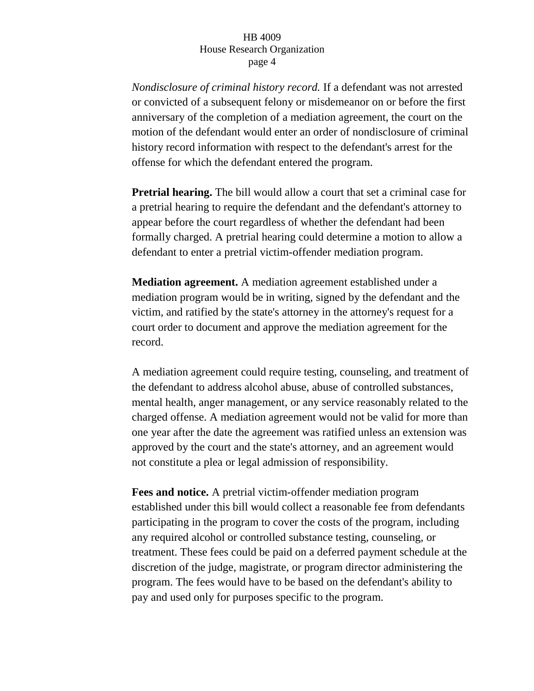*Nondisclosure of criminal history record.* If a defendant was not arrested or convicted of a subsequent felony or misdemeanor on or before the first anniversary of the completion of a mediation agreement, the court on the motion of the defendant would enter an order of nondisclosure of criminal history record information with respect to the defendant's arrest for the offense for which the defendant entered the program.

**Pretrial hearing.** The bill would allow a court that set a criminal case for a pretrial hearing to require the defendant and the defendant's attorney to appear before the court regardless of whether the defendant had been formally charged. A pretrial hearing could determine a motion to allow a defendant to enter a pretrial victim-offender mediation program.

**Mediation agreement.** A mediation agreement established under a mediation program would be in writing, signed by the defendant and the victim, and ratified by the state's attorney in the attorney's request for a court order to document and approve the mediation agreement for the record.

A mediation agreement could require testing, counseling, and treatment of the defendant to address alcohol abuse, abuse of controlled substances, mental health, anger management, or any service reasonably related to the charged offense. A mediation agreement would not be valid for more than one year after the date the agreement was ratified unless an extension was approved by the court and the state's attorney, and an agreement would not constitute a plea or legal admission of responsibility.

**Fees and notice.** A pretrial victim-offender mediation program established under this bill would collect a reasonable fee from defendants participating in the program to cover the costs of the program, including any required alcohol or controlled substance testing, counseling, or treatment. These fees could be paid on a deferred payment schedule at the discretion of the judge, magistrate, or program director administering the program. The fees would have to be based on the defendant's ability to pay and used only for purposes specific to the program.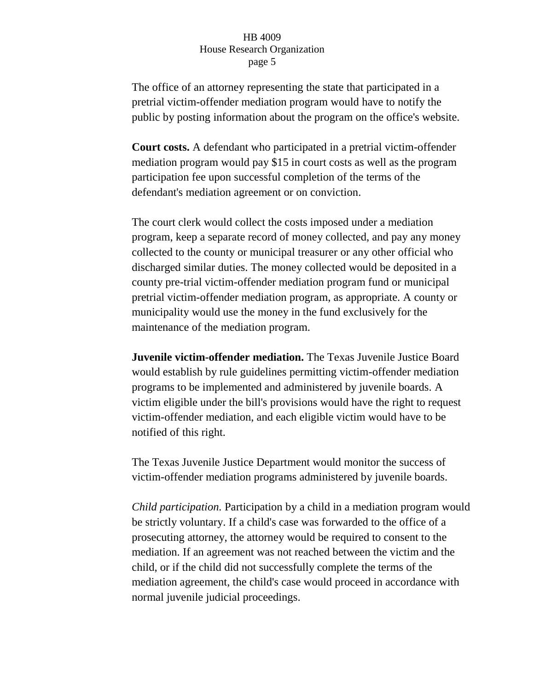The office of an attorney representing the state that participated in a pretrial victim-offender mediation program would have to notify the public by posting information about the program on the office's website.

**Court costs.** A defendant who participated in a pretrial victim-offender mediation program would pay \$15 in court costs as well as the program participation fee upon successful completion of the terms of the defendant's mediation agreement or on conviction.

The court clerk would collect the costs imposed under a mediation program, keep a separate record of money collected, and pay any money collected to the county or municipal treasurer or any other official who discharged similar duties. The money collected would be deposited in a county pre-trial victim-offender mediation program fund or municipal pretrial victim-offender mediation program, as appropriate. A county or municipality would use the money in the fund exclusively for the maintenance of the mediation program.

**Juvenile victim-offender mediation.** The Texas Juvenile Justice Board would establish by rule guidelines permitting victim-offender mediation programs to be implemented and administered by juvenile boards. A victim eligible under the bill's provisions would have the right to request victim-offender mediation, and each eligible victim would have to be notified of this right.

The Texas Juvenile Justice Department would monitor the success of victim-offender mediation programs administered by juvenile boards.

*Child participation.* Participation by a child in a mediation program would be strictly voluntary. If a child's case was forwarded to the office of a prosecuting attorney, the attorney would be required to consent to the mediation. If an agreement was not reached between the victim and the child, or if the child did not successfully complete the terms of the mediation agreement, the child's case would proceed in accordance with normal juvenile judicial proceedings.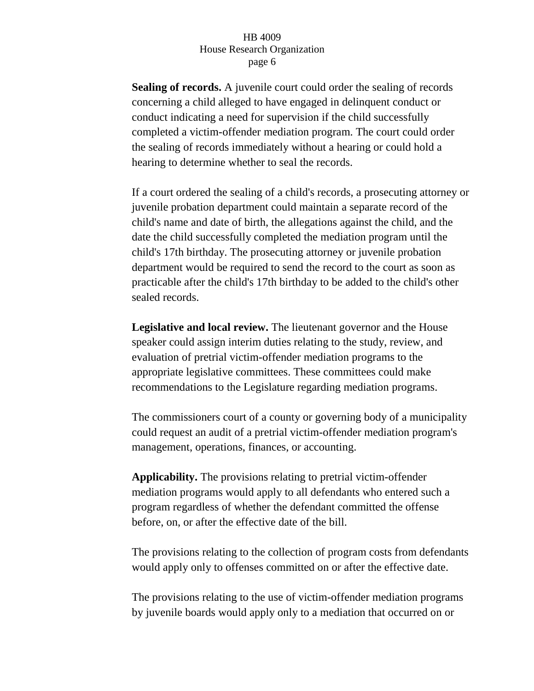**Sealing of records.** A juvenile court could order the sealing of records concerning a child alleged to have engaged in delinquent conduct or conduct indicating a need for supervision if the child successfully completed a victim-offender mediation program. The court could order the sealing of records immediately without a hearing or could hold a hearing to determine whether to seal the records.

If a court ordered the sealing of a child's records, a prosecuting attorney or juvenile probation department could maintain a separate record of the child's name and date of birth, the allegations against the child, and the date the child successfully completed the mediation program until the child's 17th birthday. The prosecuting attorney or juvenile probation department would be required to send the record to the court as soon as practicable after the child's 17th birthday to be added to the child's other sealed records.

**Legislative and local review.** The lieutenant governor and the House speaker could assign interim duties relating to the study, review, and evaluation of pretrial victim-offender mediation programs to the appropriate legislative committees. These committees could make recommendations to the Legislature regarding mediation programs.

The commissioners court of a county or governing body of a municipality could request an audit of a pretrial victim-offender mediation program's management, operations, finances, or accounting.

**Applicability.** The provisions relating to pretrial victim-offender mediation programs would apply to all defendants who entered such a program regardless of whether the defendant committed the offense before, on, or after the effective date of the bill.

The provisions relating to the collection of program costs from defendants would apply only to offenses committed on or after the effective date.

The provisions relating to the use of victim-offender mediation programs by juvenile boards would apply only to a mediation that occurred on or